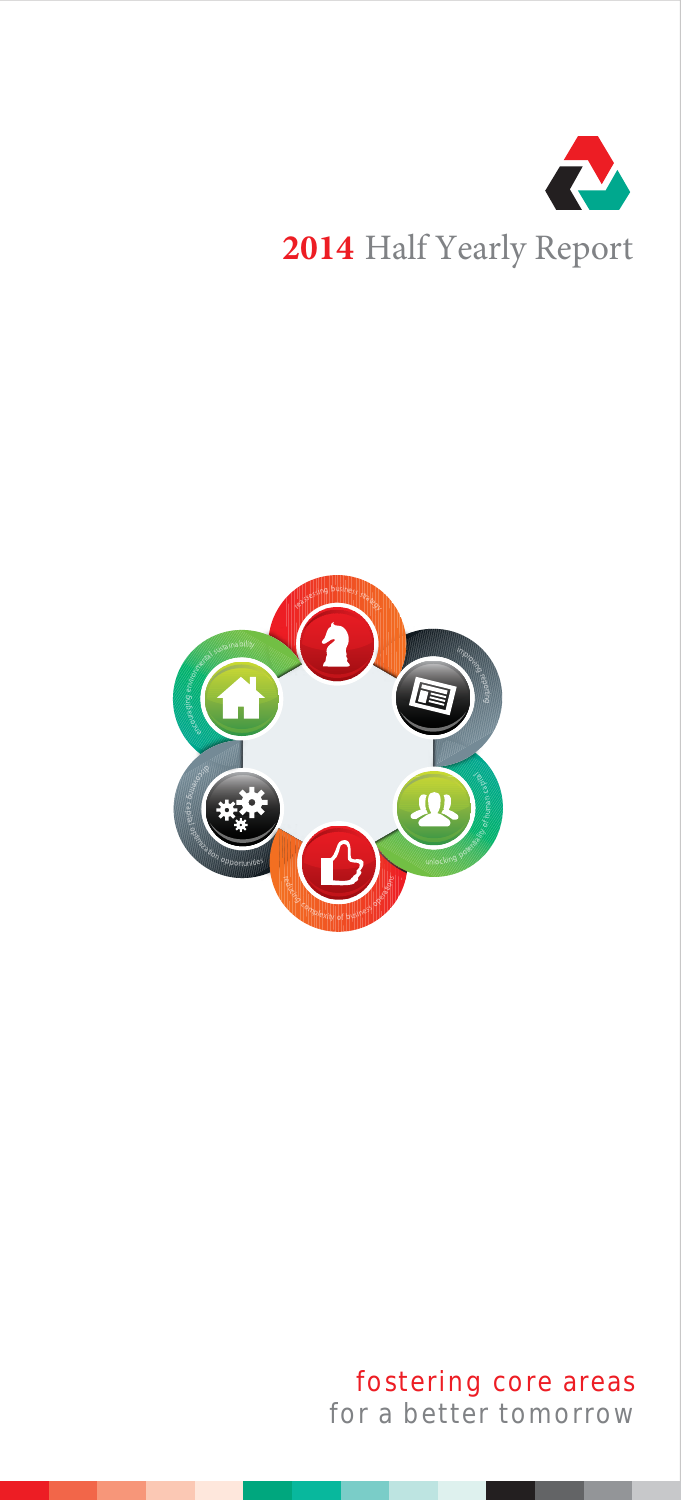

# **2014** Half Yearly Report



# fostering core areas for a better tomorrow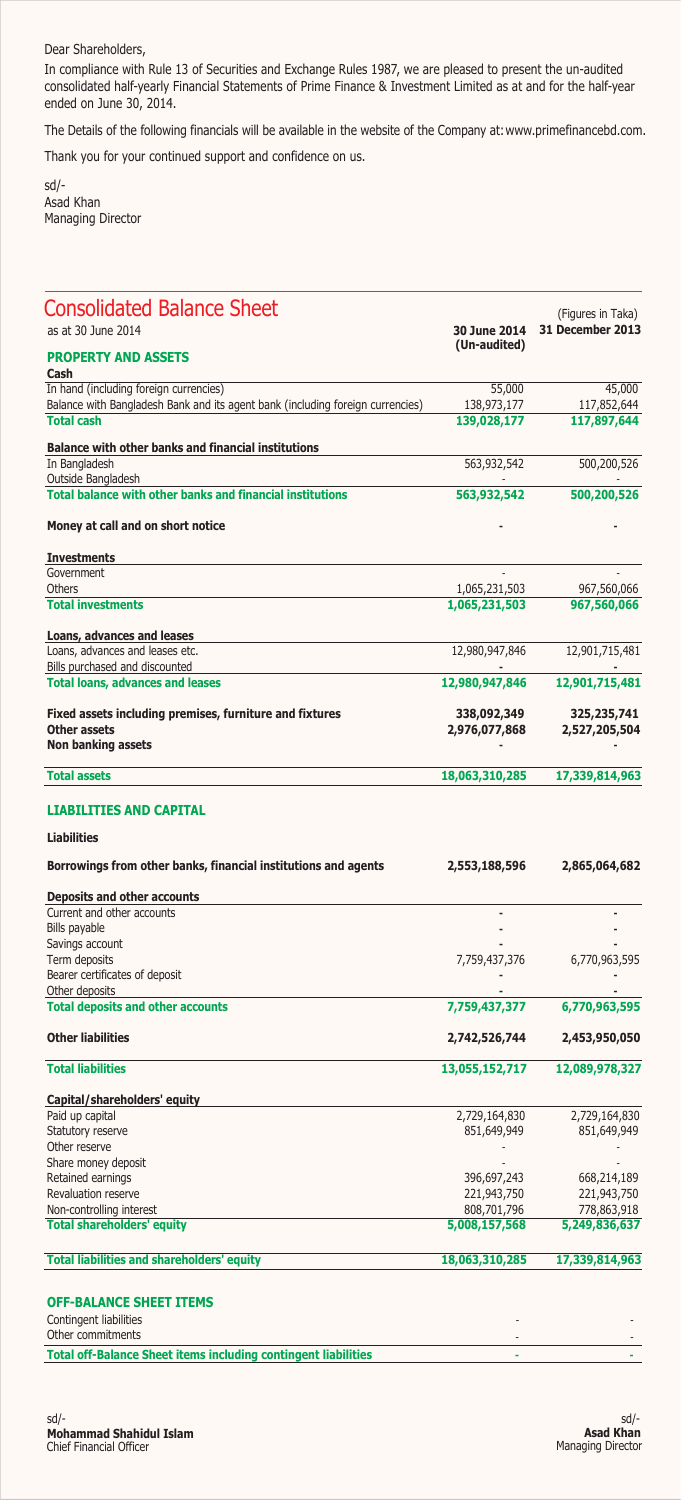### Dear Shareholders,

In compliance with Rule 13 of Securities and Exchange Rules 1987, we are pleased to present the un-audited consolidated half-yearly Financial Statements of Prime Finance & Investment Limited as at and for the half-year ended on June 30, 2014.

The Details of the following financials will be available in the website of the Company at: www.primefinancebd.com.

Thank you for your continued support and confidence on us.

sd/- Asad Khan Managing Director

| <b>Consolidated Balance Sheet</b><br>as at 30 June 2014                                             | 30 June 2014   | (Figures in Taka)<br>31 December 2013 |
|-----------------------------------------------------------------------------------------------------|----------------|---------------------------------------|
|                                                                                                     | (Un-audited)   |                                       |
| <b>PROPERTY AND ASSETS</b><br>Cash                                                                  |                |                                       |
| In hand (including foreign currencies)                                                              | 55,000         | 45,000                                |
| Balance with Bangladesh Bank and its agent bank (including foreign currencies)<br><b>Total cash</b> | 138,973,177    | 117,852,644                           |
|                                                                                                     | 139,028,177    | 117,897,644                           |
| Balance with other banks and financial institutions                                                 |                |                                       |
| In Bangladesh<br>Outside Bangladesh                                                                 | 563,932,542    | 500,200,526                           |
| <b>Total balance with other banks and financial institutions</b>                                    | 563,932,542    | 500,200,526                           |
| Money at call and on short notice                                                                   |                |                                       |
| <b>Investments</b>                                                                                  |                |                                       |
| Government                                                                                          |                |                                       |
| Others                                                                                              | 1,065,231,503  | 967,560,066                           |
| <b>Total investments</b>                                                                            | 1,065,231,503  | 967,560,066                           |
| Loans, advances and leases                                                                          |                |                                       |
| Loans, advances and leases etc.<br>Bills purchased and discounted                                   | 12,980,947,846 | 12,901,715,481                        |
| <b>Total loans, advances and leases</b>                                                             | 12,980,947,846 | 12,901,715,481                        |
| Fixed assets including premises, furniture and fixtures                                             | 338,092,349    | 325,235,741                           |
| <b>Other assets</b>                                                                                 | 2,976,077,868  | 2,527,205,504                         |
| Non banking assets                                                                                  |                |                                       |
| <b>Total assets</b>                                                                                 | 18,063,310,285 | 17,339,814,963                        |
| <b>LIABILITIES AND CAPITAL</b>                                                                      |                |                                       |
| <b>Liabilities</b>                                                                                  |                |                                       |
| Borrowings from other banks, financial institutions and agents                                      | 2,553,188,596  | 2,865,064,682                         |
| <b>Deposits and other accounts</b>                                                                  |                |                                       |
| Current and other accounts                                                                          |                |                                       |
| Bills payable<br>Savings account                                                                    |                |                                       |
| Term deposits                                                                                       | 7,759,437,376  | 6,770,963,595                         |
| Bearer certificates of deposit                                                                      |                |                                       |
| Other deposits                                                                                      |                |                                       |
| <b>Total deposits and other accounts</b>                                                            | 7,759,437,377  | 6,770,963,595                         |
| <b>Other liabilities</b>                                                                            | 2,742,526,744  | 2,453,950,050                         |
| <b>Total liabilities</b>                                                                            | 13,055,152,717 | 12,089,978,327                        |
| Capital/shareholders' equity                                                                        |                |                                       |
| Paid up capital                                                                                     | 2,729,164,830  | 2,729,164,830                         |
| Statutory reserve                                                                                   | 851,649,949    | 851,649,949                           |
| Other reserve                                                                                       |                |                                       |
| Share money deposit                                                                                 |                |                                       |
| Retained earnings                                                                                   | 396,697,243    | 668,214,189                           |
| Revaluation reserve                                                                                 | 221,943,750    | 221,943,750                           |
| Non-controlling interest                                                                            | 808,701,796    | 778,863,918                           |
| <b>Total shareholders' equity</b>                                                                   | 5,008,157,568  | 5,249,836,637                         |
| <b>Total liabilities and shareholders' equity</b>                                                   | 18,063,310,285 | 17,339,814,963                        |
|                                                                                                     |                |                                       |
| <b>OFF-BALANCE SHEET ITEMS</b>                                                                      |                |                                       |
| Contingent liabilities                                                                              |                |                                       |

| Contingent liabilities                                                |  |
|-----------------------------------------------------------------------|--|
| Other commitments                                                     |  |
| <b>Total off-Balance Sheet items including contingent liabilities</b> |  |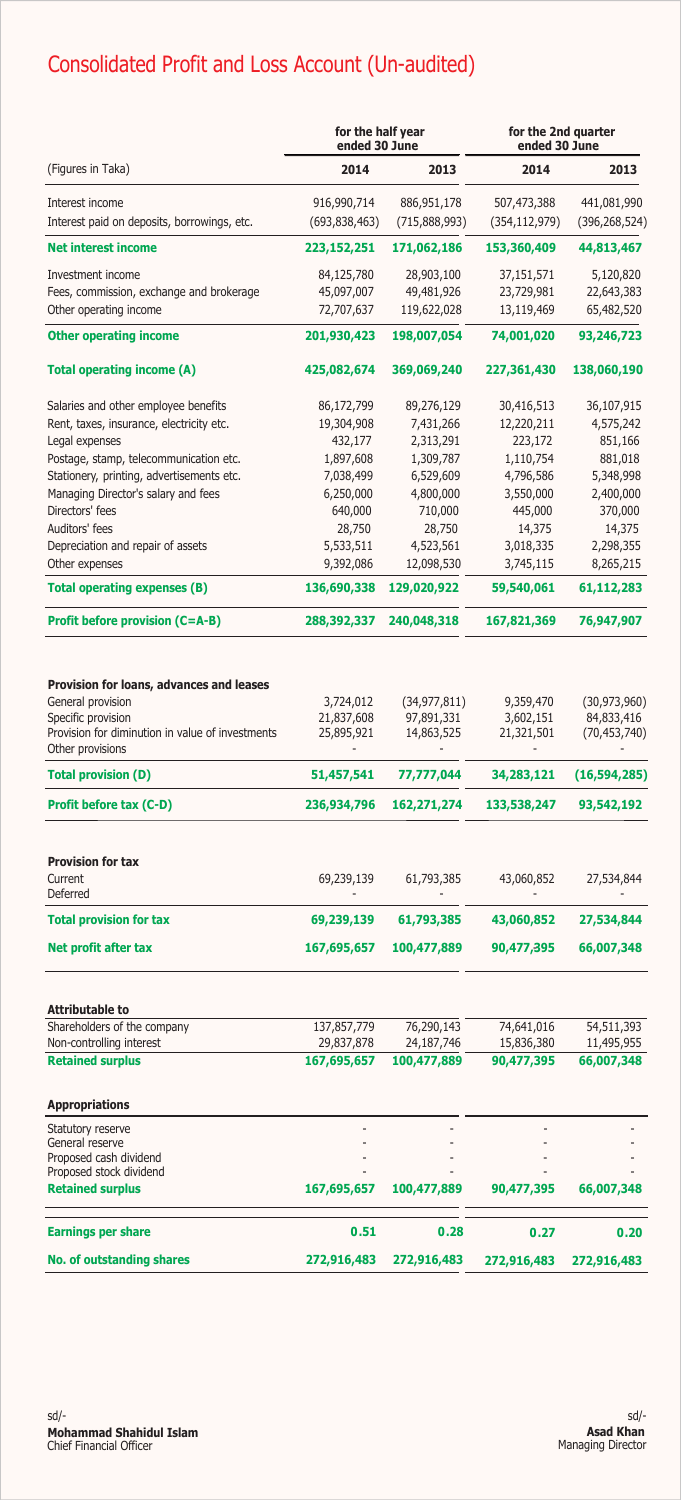# Consolidated Profit and Loss Account (Un-audited)

|                                                                                                                                         | for the half year<br>ended 30 June    |                                            | for the 2nd quarter<br>ended 30 June   |                                                |  |
|-----------------------------------------------------------------------------------------------------------------------------------------|---------------------------------------|--------------------------------------------|----------------------------------------|------------------------------------------------|--|
| (Figures in Taka)                                                                                                                       | 2014                                  | 2013                                       | 2014                                   | 2013                                           |  |
| Interest income                                                                                                                         | 916,990,714                           | 886,951,178                                | 507,473,388                            | 441,081,990                                    |  |
| Interest paid on deposits, borrowings, etc.                                                                                             | (693, 838, 463)                       | (715,888,993)                              | (354, 112, 979)                        | (396, 268, 524)                                |  |
| <b>Net interest income</b>                                                                                                              | 223, 152, 251                         | 171,062,186                                | 153,360,409                            | 44,813,467                                     |  |
| Investment income                                                                                                                       | 84,125,780                            | 28,903,100                                 | 37,151,571                             | 5,120,820                                      |  |
| Fees, commission, exchange and brokerage                                                                                                | 45,097,007                            | 49,481,926                                 | 23,729,981                             | 22,643,383                                     |  |
| Other operating income                                                                                                                  | 72,707,637                            | 119,622,028                                | 13,119,469                             | 65,482,520                                     |  |
| <b>Other operating income</b>                                                                                                           | 201,930,423                           | 198,007,054                                | 74,001,020                             | 93,246,723                                     |  |
| <b>Total operating income (A)</b>                                                                                                       | 425,082,674                           | 369,069,240                                | 227,361,430                            | 138,060,190                                    |  |
| Salaries and other employee benefits                                                                                                    | 86,172,799                            | 89,276,129                                 | 30,416,513                             | 36,107,915                                     |  |
| Rent, taxes, insurance, electricity etc.                                                                                                | 19,304,908                            | 7,431,266                                  | 12,220,211                             | 4,575,242                                      |  |
| Legal expenses                                                                                                                          | 432,177                               | 2,313,291                                  | 223,172                                | 851,166                                        |  |
| Postage, stamp, telecommunication etc.                                                                                                  | 1,897,608                             | 1,309,787                                  | 1,110,754                              | 881,018                                        |  |
| Stationery, printing, advertisements etc.                                                                                               | 7,038,499                             | 6,529,609                                  | 4,796,586                              | 5,348,998                                      |  |
| Managing Director's salary and fees                                                                                                     | 6,250,000                             | 4,800,000                                  | 3,550,000                              | 2,400,000                                      |  |
| Directors' fees                                                                                                                         | 640,000                               | 710,000                                    | 445,000                                | 370,000                                        |  |
| Auditors' fees                                                                                                                          | 28,750                                | 28,750                                     | 14,375                                 | 14,375                                         |  |
| Depreciation and repair of assets                                                                                                       | 5,533,511                             | 4,523,561                                  | 3,018,335                              | 2,298,355                                      |  |
| Other expenses                                                                                                                          | 9,392,086                             | 12,098,530                                 | 3,745,115                              | 8,265,215                                      |  |
| <b>Total operating expenses (B)</b>                                                                                                     | 136,690,338                           | 129,020,922                                | 59,540,061                             | 61,112,283                                     |  |
| <b>Profit before provision (C=A-B)</b>                                                                                                  | 288,392,337                           | 240,048,318                                | 167,821,369                            | 76,947,907                                     |  |
| Provision for loans, advances and leases<br>General provision<br>Specific provision<br>Provision for diminution in value of investments | 3,724,012<br>21,837,608<br>25,895,921 | (34, 977, 811)<br>97,891,331<br>14,863,525 | 9,359,470<br>3,602,151<br>21,321,501   | (30, 973, 960)<br>84,833,416<br>(70, 453, 740) |  |
| Other provisions<br><b>Total provision (D)</b>                                                                                          | 51,457,541                            | 77,777,044                                 | 34,283,121                             | (16, 594, 285)                                 |  |
| Profit before tax (C-D)                                                                                                                 | 236,934,796                           | 162,271,274                                | 133,538,247                            | 93,542,192                                     |  |
|                                                                                                                                         |                                       |                                            |                                        |                                                |  |
| <b>Provision for tax</b>                                                                                                                |                                       |                                            |                                        |                                                |  |
| Current<br>Deferred                                                                                                                     | 69,239,139                            | 61,793,385<br>$\blacksquare$               | 43,060,852<br>$\overline{\phantom{a}}$ | 27,534,844<br>$\overline{\phantom{a}}$         |  |
| <b>Total provision for tax</b>                                                                                                          | 69,239,139                            | 61,793,385                                 | 43,060,852                             | 27,534,844                                     |  |
| Net profit after tax                                                                                                                    | 167,695,657                           | 100,477,889                                | 90,477,395                             | 66,007,348                                     |  |
|                                                                                                                                         |                                       |                                            |                                        |                                                |  |
| Attributable to                                                                                                                         |                                       |                                            |                                        |                                                |  |
| Shareholders of the company                                                                                                             | 137,857,779                           | 76,290,143                                 | 74,641,016                             | 54,511,393                                     |  |
| Non-controlling interest<br><b>Retained surplus</b>                                                                                     | 29,837,878<br>167,695,657             | 24,187,746<br>100,477,889                  | 15,836,380<br>90,477,395               | 11,495,955<br>66,007,348                       |  |
| <b>Appropriations</b>                                                                                                                   |                                       |                                            |                                        |                                                |  |
|                                                                                                                                         |                                       |                                            |                                        |                                                |  |
| Statutory reserve<br>General reserve                                                                                                    |                                       |                                            |                                        |                                                |  |
| Proposed cash dividend                                                                                                                  |                                       |                                            |                                        |                                                |  |
| Proposed stock dividend                                                                                                                 |                                       |                                            |                                        |                                                |  |
| <b>Retained surplus</b>                                                                                                                 | 167,695,657                           | 100,477,889                                | 90,477,395                             | 66,007,348                                     |  |
| <b>Earnings per share</b>                                                                                                               | 0.51                                  | 0.28                                       | 0.27                                   | 0.20                                           |  |
| <b>No. of outstanding shares</b>                                                                                                        | 272,916,483                           | 272,916,483                                | 272,916,483                            | 272,916,483                                    |  |
|                                                                                                                                         |                                       |                                            |                                        |                                                |  |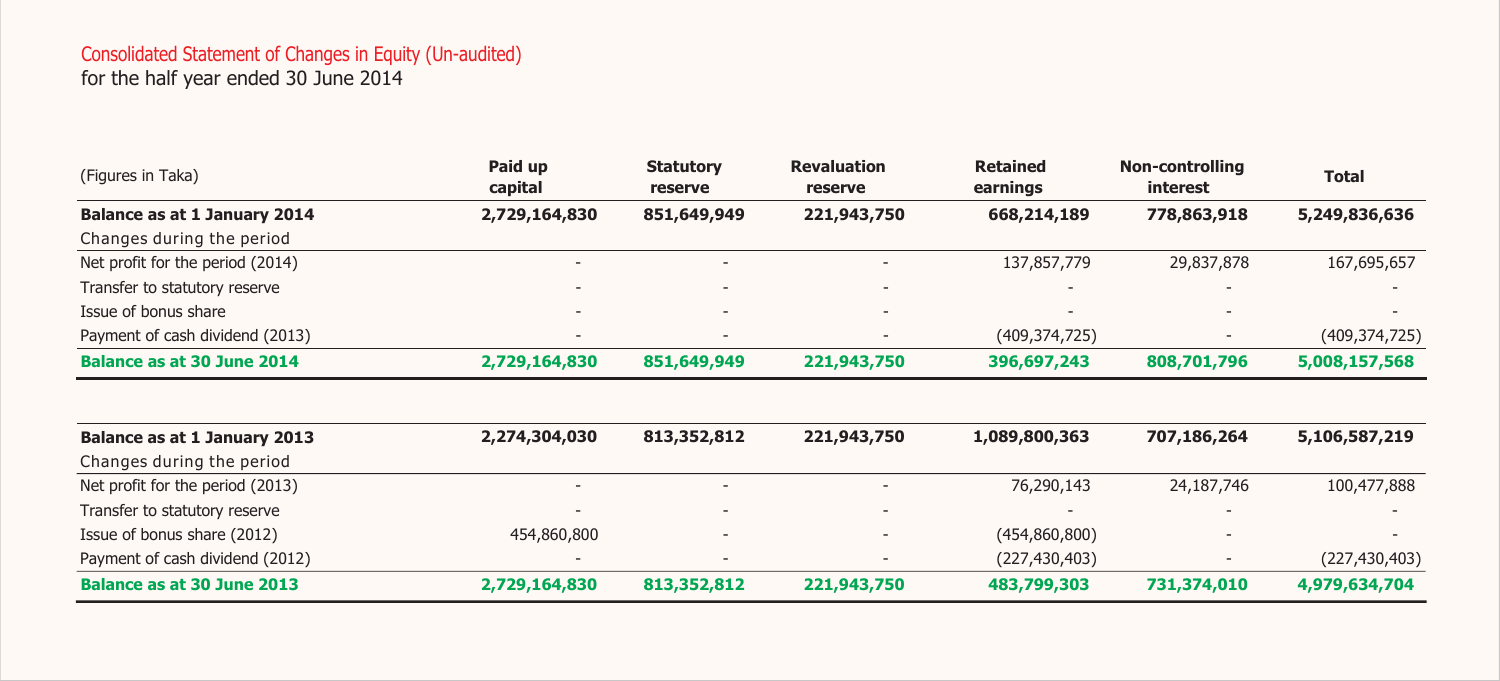### Consolidated Statement of Changes in Equity (Un-audited)

for the half year ended 30 June 2014

| (Figures in Taka)                | Paid up<br>capital | <b>Statutory</b><br>reserve | <b>Revaluation</b><br>reserve | <b>Retained</b><br>earnings | <b>Non-controlling</b><br>interest | <b>Total</b>    |
|----------------------------------|--------------------|-----------------------------|-------------------------------|-----------------------------|------------------------------------|-----------------|
| Balance as at 1 January 2014     | 2,729,164,830      | 851,649,949                 | 221,943,750                   | 668,214,189                 | 778,863,918                        | 5,249,836,636   |
| Changes during the period        |                    |                             |                               |                             |                                    |                 |
| Net profit for the period (2014) |                    |                             |                               | 137,857,779                 | 29,837,878                         | 167,695,657     |
| Transfer to statutory reserve    |                    | $\overline{\phantom{0}}$    |                               |                             |                                    |                 |
| Issue of bonus share             |                    |                             |                               | $\overline{\phantom{0}}$    | $\overline{\phantom{0}}$           |                 |
| Payment of cash dividend (2013)  |                    |                             |                               | (409, 374, 725)             |                                    | (409, 374, 725) |
| Balance as at 30 June 2014       | 2,729,164,830      | 851,649,949                 | 221,943,750                   | 396,697,243                 | 808,701,796                        | 5,008,157,568   |

| Balance as at 1 January 2013     | 2,274,304,030 | 813,352,812 | 221,943,750 | 1,089,800,363            | 707.186.264              | 5,106,587,219   |
|----------------------------------|---------------|-------------|-------------|--------------------------|--------------------------|-----------------|
| Changes during the period        |               |             |             |                          |                          |                 |
| Net profit for the period (2013) |               | -           |             | 76,290,143               | 24,187,746               | 100,477,888     |
| Transfer to statutory reserve    |               |             |             | $\overline{\phantom{0}}$ | $\overline{\phantom{0}}$ |                 |
| Issue of bonus share (2012)      | 454,860,800   |             |             | (454,860,800)            |                          |                 |
| Payment of cash dividend (2012)  |               |             |             | (227, 430, 403)          |                          | (227, 430, 403) |
| Balance as at 30 June 2013       | 2,729,164,830 | 813,352,812 | 221,943,750 | 483,799,303              | 731,374,010              | 4,979,634,704   |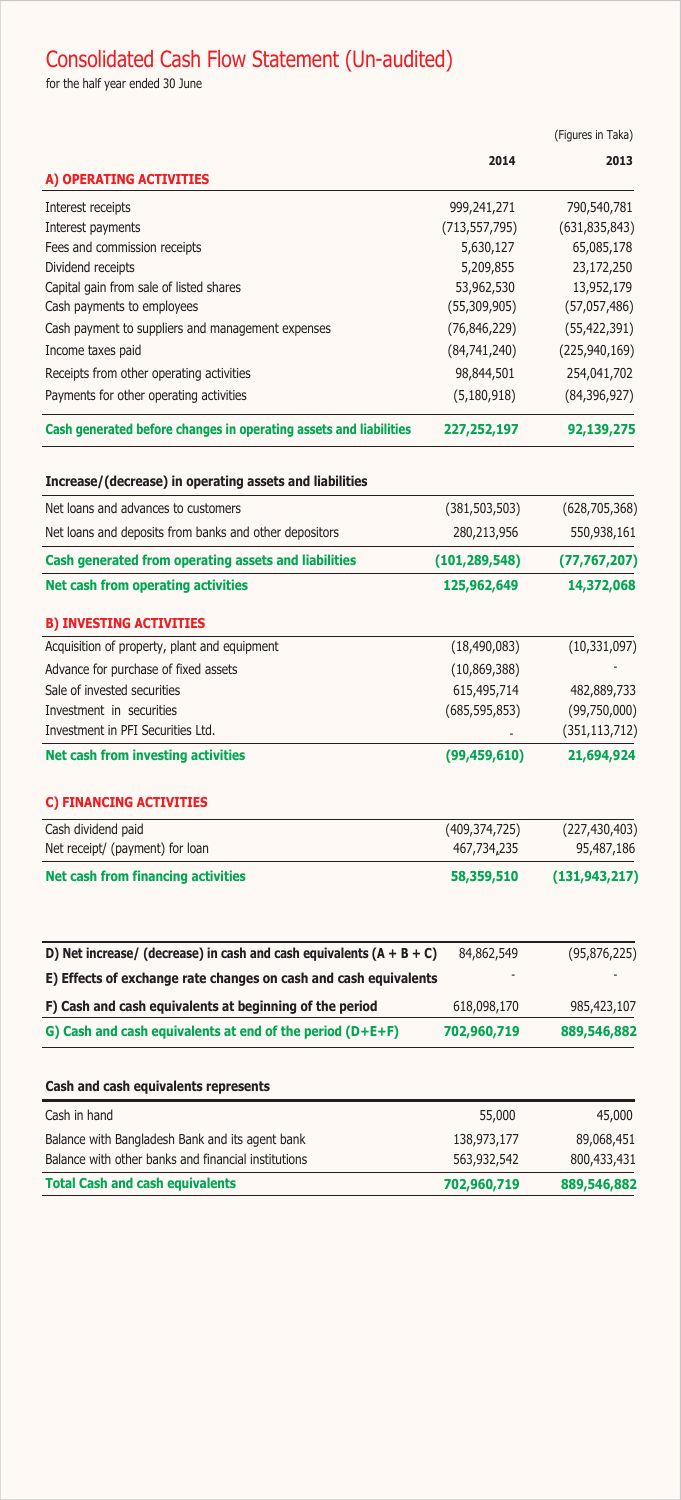# Consolidated Cash Flow Statement (Un-audited)

for the half year ended 30 June

|                                                                        |                 | (Figures in Taka) |
|------------------------------------------------------------------------|-----------------|-------------------|
|                                                                        | 2014            | 2013              |
| A) OPERATING ACTIVITIES                                                |                 |                   |
| Interest receipts                                                      | 999,241,271     | 790,540,781       |
| Interest payments                                                      | (713, 557, 795) | (631, 835, 843)   |
| Fees and commission receipts                                           | 5,630,127       | 65,085,178        |
| Dividend receipts                                                      | 5,209,855       | 23,172,250        |
| Capital gain from sale of listed shares                                | 53,962,530      | 13,952,179        |
| Cash payments to employees                                             | (55,309,905)    | (57,057,486)      |
| Cash payment to suppliers and management expenses                      | (76, 846, 229)  | (55, 422, 391)    |
| Income taxes paid                                                      | (84, 741, 240)  | (225, 940, 169)   |
| Receipts from other operating activities                               | 98,844,501      | 254,041,702       |
| Payments for other operating activities                                | (5, 180, 918)   | (84, 396, 927)    |
| Cash generated before changes in operating assets and liabilities      | 227,252,197     | 92,139,275        |
| Increase/(decrease) in operating assets and liabilities                |                 |                   |
| Net loans and advances to customers                                    | (381, 503, 503) | (628, 705, 368)   |
| Net loans and deposits from banks and other depositors                 | 280,213,956     | 550,938,161       |
| Cash generated from operating assets and liabilities                   | (101, 289, 548) | (77, 767, 207)    |
| Net cash from operating activities                                     | 125,962,649     | 14,372,068        |
| <b>B) INVESTING ACTIVITIES</b>                                         |                 |                   |
| Acquisition of property, plant and equipment                           | (18, 490, 083)  | (10, 331, 097)    |
| Advance for purchase of fixed assets                                   | (10, 869, 388)  |                   |
| Sale of invested securities                                            | 615,495,714     | 482,889,733       |
| Investment in securities                                               | (685, 595, 853) | (99,750,000)      |
| Investment in PFI Securities Ltd.                                      |                 | (351, 113, 712)   |
| <b>Net cash from investing activities</b>                              | (99, 459, 610)  | 21,694,924        |
| C) FINANCING ACTIVITIES                                                |                 |                   |
| Cash dividend paid                                                     | (409, 374, 725) | (227, 430, 403)   |
| Net receipt/ (payment) for loan                                        | 467,734,235     | 95,487,186        |
| <b>Net cash from financing activities</b>                              | 58,359,510      | (131, 943, 217)   |
|                                                                        |                 |                   |
| D) Net increase/ (decrease) in cash and cash equivalents $(A + B + C)$ | 84,862,549      | (95, 876, 225)    |
| E) Effects of exchange rate changes on cash and cash equivalents       |                 |                   |
| F) Cash and cash equivalents at beginning of the period                | 618,098,170     | 985,423,107       |
| G) Cash and cash equivalents at end of the period (D+E+F)              | 702,960,719     | 889,546,882       |
| Cash and cash equivalents represents                                   |                 |                   |
| Cash in hand                                                           | 55,000          | 45,000            |
| Balance with Bangladesh Bank and its agent bank                        | 138,973,177     | 89,068,451        |
| Balance with other banks and financial institutions                    | 563,932,542     | 800,433,431       |

**Total Cash and cash equivalents 702,960,719 889,546,882**